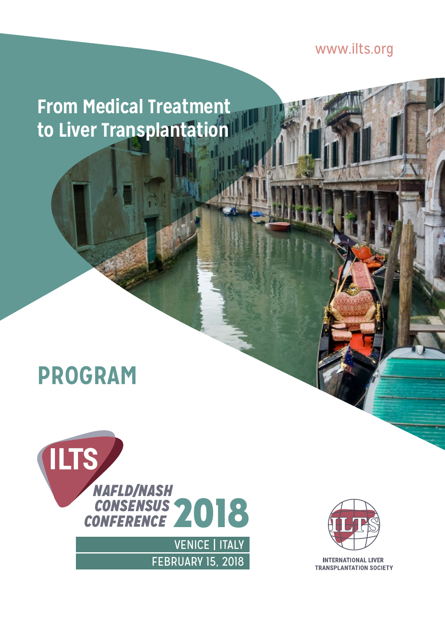[www.ilts.org](http://www.ilts.org)

**From Medical Treatment to Liver Transplantation**

# **PROGRAM**





**INTERNATIONAL LIVER TRANSPLANTATION SOCIETY**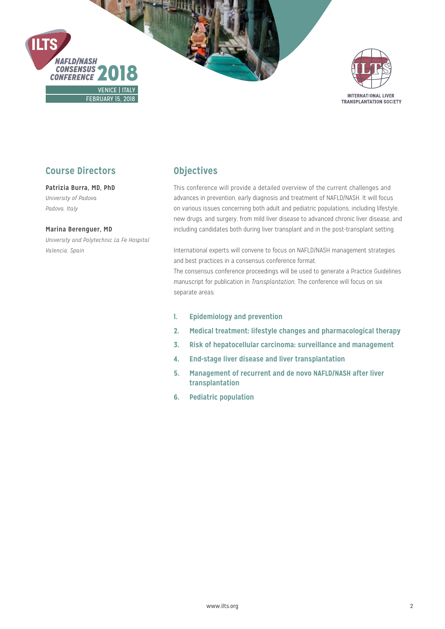



## **Course Directors**

## **Patrizia Burra, MD, PhD**

*University of Padova Padova, Italy*

#### **Marina Berenguer, MD**

*University and Polytechnic La Fe Hospital Valencia, Spain*

## **Objectives**

This conference will provide a detailed overview of the current challenges and advances in prevention, early diagnosis and treatment of NAFLD/NASH. It will focus on various issues concerning both adult and pediatric populations, including lifestyle, new drugs, and surgery, from mild liver disease to advanced chronic liver disease, and including candidates both during liver transplant and in the post-transplant setting.

International experts will convene to focus on NAFLD/NASH management strategies and best practices in a consensus conference format.

The consensus conference proceedings will be used to generate a Practice Guidelines manuscript for publication in *Transplantation*. The conference will focus on six separate areas:

- **1. Epidemiology and prevention**
- **2. Medical treatment: lifestyle changes and pharmacological therapy**
- **3. Risk of hepatocellular carcinoma: surveillance and management**
- **4. End-stage liver disease and liver transplantation**
- **5. Management of recurrent and de novo NAFLD/NASH after liver transplantation**
- **6. Pediatric population**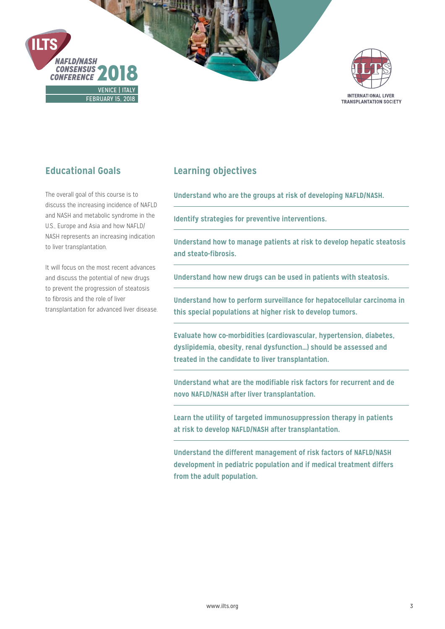



# **Educational Goals**

The overall goal of this course is to discuss the increasing incidence of NAFLD and NASH and metabolic syndrome in the U.S., Europe and Asia and how NAFLD/ NASH represents an increasing indication to liver transplantation.

It will focus on the most recent advances and discuss the potential of new drugs to prevent the progression of steatosis to fibrosis and the role of liver transplantation for advanced liver disease.

# **Learning objectives**

**Understand who are the groups at risk of developing NAFLD/NASH.**

**Identify strategies for preventive interventions.**

**Understand how to manage patients at risk to develop hepatic steatosis and steato-fibrosis.**

**Understand how new drugs can be used in patients with steatosis.**

**Understand how to perform surveillance for hepatocellular carcinoma in this special populations at higher risk to develop tumors.** 

**Evaluate how co-morbidities (cardiovascular, hypertension, diabetes, dyslipidemia, obesity, renal dysfunction…) should be assessed and treated in the candidate to liver transplantation.**

**Understand what are the modifiable risk factors for recurrent and de novo NAFLD/NASH after liver transplantation.**

**Learn the utility of targeted immunosuppression therapy in patients at risk to develop NAFLD/NASH after transplantation.**

**Understand the different management of risk factors of NAFLD/NASH development in pediatric population and if medical treatment differs from the adult population.**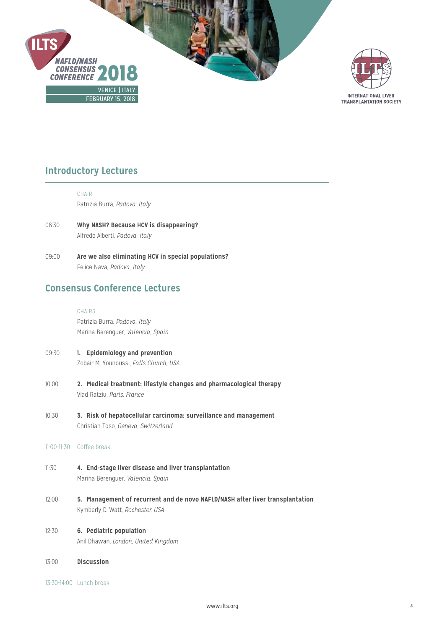



# **Introductory Lectures**

CHAIR

Patrizia Burra, *Padova, Italy*

- 08:30 **Why NASH? Because HCV is disappearing?**  Alfredo Alberti, *Padova, Italy*
- 09:00 **Are we also eliminating HCV in special populations?**  Felice Nava, *Padova, Italy*

## **Consensus Conference Lectures**

#### **CHAIRS**

Patrizia Burra, *Padova, Italy* Marina Berenguer, *Valencia, Spain*

- 09:30 **1. Epidemiology and prevention** Zobair M. Younoussi, *Falls Church, USA*
- 10:00 **2. Medical treatment: lifestyle changes and pharmacological therapy** Vlad Ratziu, *Paris, France*
- 10:30 **3. Risk of hepatocellular carcinoma: surveillance and management** Christian Toso, *Geneva, Switzerland*

### 11:00-11:30 Coffee break

- 11:30 **4. End-stage liver disease and liver transplantation** Marina Berenguer, *Valencia, Spain*
- 12:00 **5. Management of recurrent and de novo NAFLD/NASH after liver transplantation** Kymberly D. Watt, *Rochester, USA*
- 12:30 **6. Pediatric population** Anil Dhawan, *London, United Kingdom*
- 13:00 **Discussion**
- 13:30-14:00 Lunch break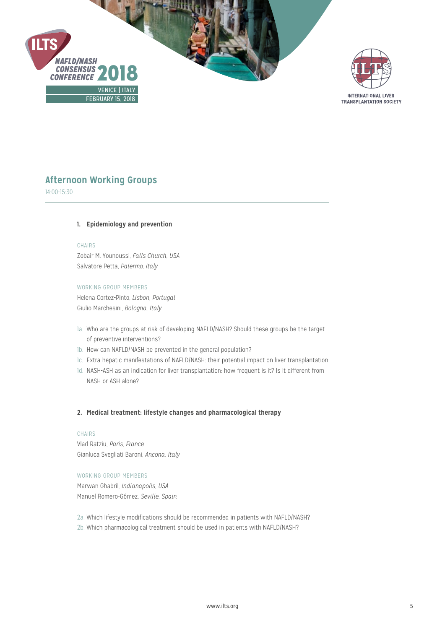



## **Afternoon Working Groups**

14:00-15:30

#### **1. Epidemiology and prevention**

#### CHAIRS

Zobair M. Younoussi, *Falls Church, USA* Salvatore Petta, *Palermo, Italy*

### WORKING GROUP MEMBERS

Helena Cortez-Pinto, *Lisbon, Portugal* Giulio Marchesini, *Bologna, Italy*

- 1a. Who are the groups at risk of developing NAFLD/NASH? Should these groups be the target of preventive interventions?
- 1b. How can NAFLD/NASH be prevented in the general population?
- 1c. Extra-hepatic manifestations of NAFLD/NASH: their potential impact on liver transplantation
- 1d. NASH-ASH as an indication for liver transplantation: how frequent is it? Is it different from NASH or ASH alone?

#### **2. Medical treatment: lifestyle changes and pharmacological therapy**

#### CHAIRS

Vlad Ratziu, *Paris, France* Gianluca Svegliati Baroni, *Ancona, Italy*

#### WORKING GROUP MEMBERS

Marwan Ghabril, *Indianapolis, USA* Manuel Romero-Gómez, *Seville, Spain*

2a. Which lifestyle modifications should be recommended in patients with NAFLD/NASH? 2b. Which pharmacological treatment should be used in patients with NAFLD/NASH?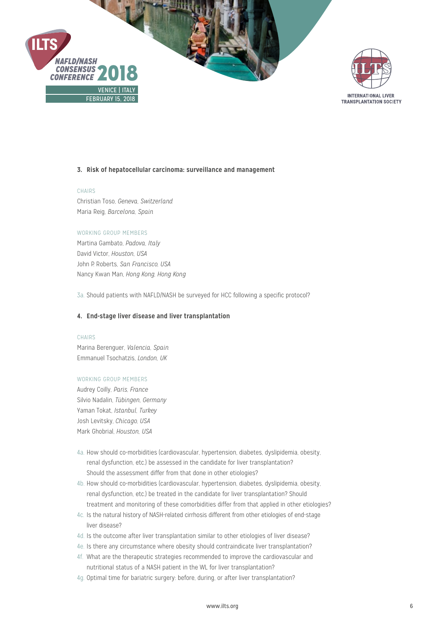



#### **3. Risk of hepatocellular carcinoma: surveillance and management**

#### CHAIRS

Christian Toso, *Geneva, Switzerland* Maria Reig, *Barcelona, Spain*

#### WORKING GROUP MEMBERS

Martina Gambato, *Padova, Italy* David Victor, *Houston, USA* John P. Roberts, *San Francisco, USA* Nancy Kwan Man, *Hong Kong, Hong Kong*

3a. Should patients with NAFLD/NASH be surveyed for HCC following a specific protocol?

#### **4. End-stage liver disease and liver transplantation**

#### CHAIRS

Marina Berenguer, *Valencia, Spain* Emmanuel Tsochatzis, *London, UK*

#### WORKING GROUP MEMBERS

Audrey Coilly, *Paris, France* Silvio Nadalin, *Tübingen, Germany* Yaman Tokat, *Istanbul, Turkey* Josh Levitsky, *Chicago, USA* Mark Ghobrial, *Houston, USA*

- 4a. How should co-morbidities (cardiovascular, hypertension, diabetes, dyslipidemia, obesity, renal dysfunction, etc.) be assessed in the candidate for liver transplantation? Should the assessment differ from that done in other etiologies?
- 4b. How should co-morbidities (cardiovascular, hypertension, diabetes, dyslipidemia, obesity, renal dysfunction, etc.) be treated in the candidate for liver transplantation? Should treatment and monitoring of these comorbidities differ from that applied in other etiologies?
- 4c. Is the natural history of NASH-related cirrhosis different from other etiologies of end-stage liver disease?
- 4d. Is the outcome after liver transplantation similar to other etiologies of liver disease?
- 4e. Is there any circumstance where obesity should contraindicate liver transplantation?
- 4f. What are the therapeutic strategies recommended to improve the cardiovascular and nutritional status of a NASH patient in the WL for liver transplantation?
- 4g. Optimal time for bariatric surgery: before, during, or after liver transplantation?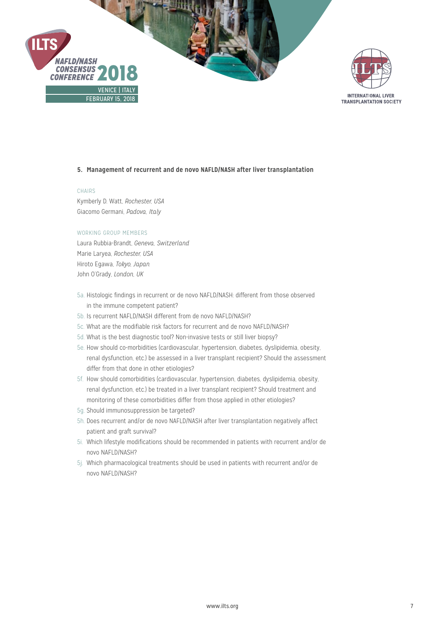



#### **5. Management of recurrent and de novo NAFLD/NASH after liver transplantation**

#### CHAIRS

Kymberly D. Watt, *Rochester, USA*  Giacomo Germani, *Padova, Italy*

#### WORKING GROUP MEMBERS

Laura Rubbia-Brandt, *Geneva, Switzerland* Marie Laryea, *Rochester, USA* Hiroto Egawa, *Tokyo, Japan* John O'Grady, *London, UK*

- 5a. Histologic findings in recurrent or de novo NAFLD/NASH: different from those observed in the immune competent patient?
- 5b. Is recurrent NAFLD/NASH different from de novo NAFLD/NASH?
- 5c. What are the modifiable risk factors for recurrent and de novo NAFLD/NASH?
- 5d. What is the best diagnostic tool? Non-invasive tests or still liver biopsy?
- 5e. How should co-morbidities (cardiovascular, hypertension, diabetes, dyslipidemia, obesity, renal dysfunction, etc.) be assessed in a liver transplant recipient? Should the assessment differ from that done in other etiologies?
- 5f. How should comorbidities (cardiovascular, hypertension, diabetes, dyslipidemia, obesity, renal dysfunction, etc.) be treated in a liver transplant recipient? Should treatment and monitoring of these comorbidities differ from those applied in other etiologies?
- 5g. Should immunosuppression be targeted?
- 5h. Does recurrent and/or de novo NAFLD/NASH after liver transplantation negatively affect patient and graft survival?
- 5i. Which lifestyle modifications should be recommended in patients with recurrent and/or de novo NAFLD/NASH?
- 5j. Which pharmacological treatments should be used in patients with recurrent and/or de novo NAFLD/NASH?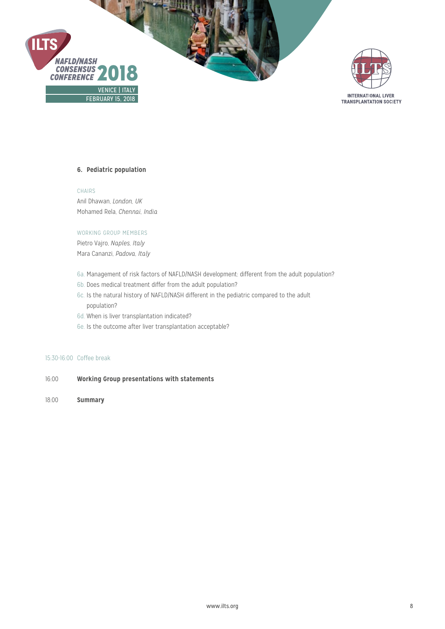



#### **6. Pediatric population**

CHAIRS Anil Dhawan, *London, UK* Mohamed Rela, *Chennai, India*

#### WORKING GROUP MEMBERS

Pietro Vajro, *Naples, Italy* Mara Cananzi, *Padova, Italy*

- 6a. Management of risk factors of NAFLD/NASH development: different from the adult population?
- 6b. Does medical treatment differ from the adult population?
- 6c. Is the natural history of NAFLD/NASH different in the pediatric compared to the adult population?
- 6d. When is liver transplantation indicated?
- 6e. Is the outcome after liver transplantation acceptable?

#### 15:30-16:00 Coffee break

- 16:00 **Working Group presentations with statements**
- 18:00 **Summary**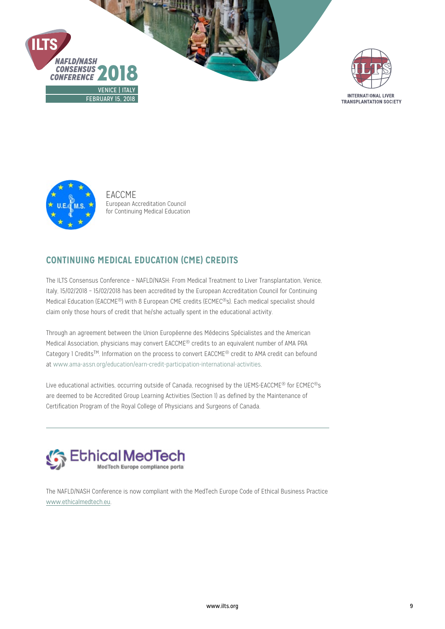





EACCME European Accreditation Council for Continuing Medical Education

# **CONTINUING MEDICAL EDUCATION (CME) CREDITS**

The ILTS Consensus Conference – NAFLD/NASH: From Medical Treatment to Liver Transplantation, Venice, Italy, 15/02/2018 – 15/02/2018 has been accredited by the European Accreditation Council for Continuing Medical Education (EACCME®) with 8 European CME credits (ECMEC®s). Each medical specialist should claim only those hours of credit that he/she actually spent in the educational activity.

Through an agreement between the Union Européenne des Médecins Spécialistes and the American Medical Association, physicians may convert EACCME® credits to an equivalent number of AMA PRA Category 1 CreditsTM. Information on the process to convert EACCME® credit to AMA credit can befound at www.ama-assn.org/education/earn-credit-participation-international-activities.

Live educational activities, occurring outside of Canada, recognised by the UEMS-EACCME® for ECMEC®s are deemed to be Accredited Group Learning Activities (Section 1) as defined by the Maintenance of Certification Program of the Royal College of Physicians and Surgeons of Canada.



The NAFLD/NASH Conference is now compliant with the MedTech Europe Code of Ethical Business Practice [www.ethicalmedtech.eu.](http://www.ethicalmedtech.eu)